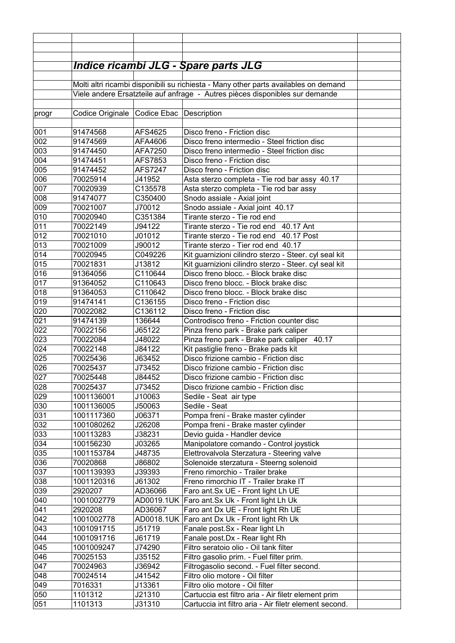|       |                                                                                      |                | Indice ricambi JLG - Spare parts JLG                   |  |  |  |  |
|-------|--------------------------------------------------------------------------------------|----------------|--------------------------------------------------------|--|--|--|--|
|       |                                                                                      |                |                                                        |  |  |  |  |
|       | Molti altri ricambi disponibili su richiesta - Many other parts availables on demand |                |                                                        |  |  |  |  |
|       | Viele andere Ersatzteile auf anfrage - Autres pièces disponibles sur demande         |                |                                                        |  |  |  |  |
|       |                                                                                      |                |                                                        |  |  |  |  |
| progr | Codice Originale Codice Ebac Description                                             |                |                                                        |  |  |  |  |
|       |                                                                                      |                |                                                        |  |  |  |  |
| 001   | 91474568                                                                             | AFS4625        | Disco freno - Friction disc                            |  |  |  |  |
| 002   | 91474569                                                                             | AFA4606        | Disco freno intermedio - Steel friction disc           |  |  |  |  |
| 003   | 91474450                                                                             | AFA7250        | Disco freno intermedio - Steel friction disc           |  |  |  |  |
| 004   | 91474451                                                                             | AFS7853        | Disco freno - Friction disc                            |  |  |  |  |
| 005   | 91474452                                                                             | <b>AFS7247</b> | Disco freno - Friction disc                            |  |  |  |  |
| 006   | 70025914                                                                             | J41952         | Asta sterzo completa - Tie rod bar assy 40.17          |  |  |  |  |
| 007   | 70020939                                                                             | C135578        | Asta sterzo completa - Tie rod bar assy                |  |  |  |  |
| 008   | 91474077                                                                             | C350400        | Snodo assiale - Axial joint                            |  |  |  |  |
| 009   | 70021007                                                                             | J70012         | Snodo assiale - Axial joint 40.17                      |  |  |  |  |
| 010   | 70020940                                                                             | C351384        | Tirante sterzo - Tie rod end                           |  |  |  |  |
| 011   | 70022149                                                                             | J94122         | Tirante sterzo - Tie rod end 40.17 Ant                 |  |  |  |  |
| 012   | 70021010                                                                             | J01012         | Tirante sterzo - Tie rod end 40.17 Post                |  |  |  |  |
| 013   | 70021009                                                                             | J90012         | Tirante sterzo - Tier rod end 40.17                    |  |  |  |  |
| 014   | 70020945                                                                             | C049226        | Kit guarnizioni cilindro sterzo - Steer. cyl seal kit  |  |  |  |  |
| 015   | 70021831                                                                             | J13812         | Kit guarnizioni cilindro sterzo - Steer. cyl seal kit  |  |  |  |  |
| 016   | 91364056                                                                             | C110644        | Disco freno blocc. - Block brake disc                  |  |  |  |  |
| 017   | 91364052                                                                             | C110643        | Disco freno blocc. - Block brake disc                  |  |  |  |  |
| 018   | 91364053                                                                             | C110642        | Disco freno blocc. - Block brake disc                  |  |  |  |  |
| 019   | 91474141                                                                             | C136155        | Disco freno - Friction disc                            |  |  |  |  |
| 020   | 70022082                                                                             | C136112        | Disco freno - Friction disc                            |  |  |  |  |
| 021   | 91474139                                                                             | 136644         | Controdisco freno - Friction counter disc              |  |  |  |  |
| 022   | 70022156                                                                             | J65122         | Pinza freno park - Brake park caliper                  |  |  |  |  |
| 023   | 70022084                                                                             | J48022         | Pinza freno park - Brake park caliper 40.17            |  |  |  |  |
| 024   | 70022148                                                                             | J84122         | Kit pastiglie freno - Brake pads kit                   |  |  |  |  |
| 025   | 70025436                                                                             | J63452         | Disco frizione cambio - Friction disc                  |  |  |  |  |
| 026   | 70025437                                                                             | J73452         | Disco frizione cambio - Friction disc                  |  |  |  |  |
| 027   | 70025448                                                                             | J84452         | Disco frizione cambio - Friction disc                  |  |  |  |  |
| 028   | 70025437                                                                             | J73452         | Disco frizione cambio - Friction disc                  |  |  |  |  |
| 029   | 1001136001                                                                           | J10063         | Sedile - Seat air type                                 |  |  |  |  |
| 030   | 1001136005                                                                           | J50063         | Sedile - Seat                                          |  |  |  |  |
| 031   | 1001117360                                                                           | J06371         | Pompa freni - Brake master cylinder                    |  |  |  |  |
| 032   | 1001080262                                                                           | J26208         | Pompa freni - Brake master cylinder                    |  |  |  |  |
| 033   | 100113283                                                                            | J38231         | Devio guida - Handler device                           |  |  |  |  |
| 034   | 100156230                                                                            | J03265         | Manipolatore comando - Control joystick                |  |  |  |  |
| 035   | 1001153784                                                                           | J48735         | Elettrovalvola Sterzatura - Steering valve             |  |  |  |  |
| 036   | 70020868                                                                             | J86802         | Solenoide sterzatura - Steerng solenoid                |  |  |  |  |
| 037   | 1001139393                                                                           | J39393         | Freno rimorchio - Trailer brake                        |  |  |  |  |
| 038   | 1001120316                                                                           | J61302         | Freno rimorchio IT - Trailer brake IT                  |  |  |  |  |
| 039   | 2920207                                                                              | AD36066        | Faro ant.Sx UE - Front light Lh UE                     |  |  |  |  |
| 040   | 1001002779                                                                           | AD0019.1UK     | Faro ant. Sx Uk - Front light Lh Uk                    |  |  |  |  |
| 041   | 2920208                                                                              | AD36067        | Faro ant Dx UE - Front light Rh UE                     |  |  |  |  |
| 042   | 1001002778                                                                           | AD0018.1UK     | Faro ant Dx Uk - Front light Rh Uk                     |  |  |  |  |
| 043   | 1001091715                                                                           | J51719         | Fanale post.Sx - Rear light Lh                         |  |  |  |  |
| 044   | 1001091716                                                                           | J61719         | Fanale post.Dx - Rear light Rh                         |  |  |  |  |
| 045   | 1001009247                                                                           | J74290         | Filtro seratoio olio - Oil tank filter                 |  |  |  |  |
| 046   | 70025153                                                                             | J35152         | Filtro gasolio prim. - Fuel filter prim.               |  |  |  |  |
| 047   | 70024963                                                                             | J36942         | Filtrogasolio second. - Fuel filter second.            |  |  |  |  |
| 048   | 70024514                                                                             | J41542         | Filtro olio motore - Oil filter                        |  |  |  |  |
| 049   | 7016331                                                                              | J13361         | Filtro olio motore - Oil filter                        |  |  |  |  |
| 050   | 1101312                                                                              | J21310         | Cartuccia est filtro aria - Air filetr element prim    |  |  |  |  |
| 051   | 1101313                                                                              | J31310         | Cartuccia int filtro aria - Air filetr element second. |  |  |  |  |